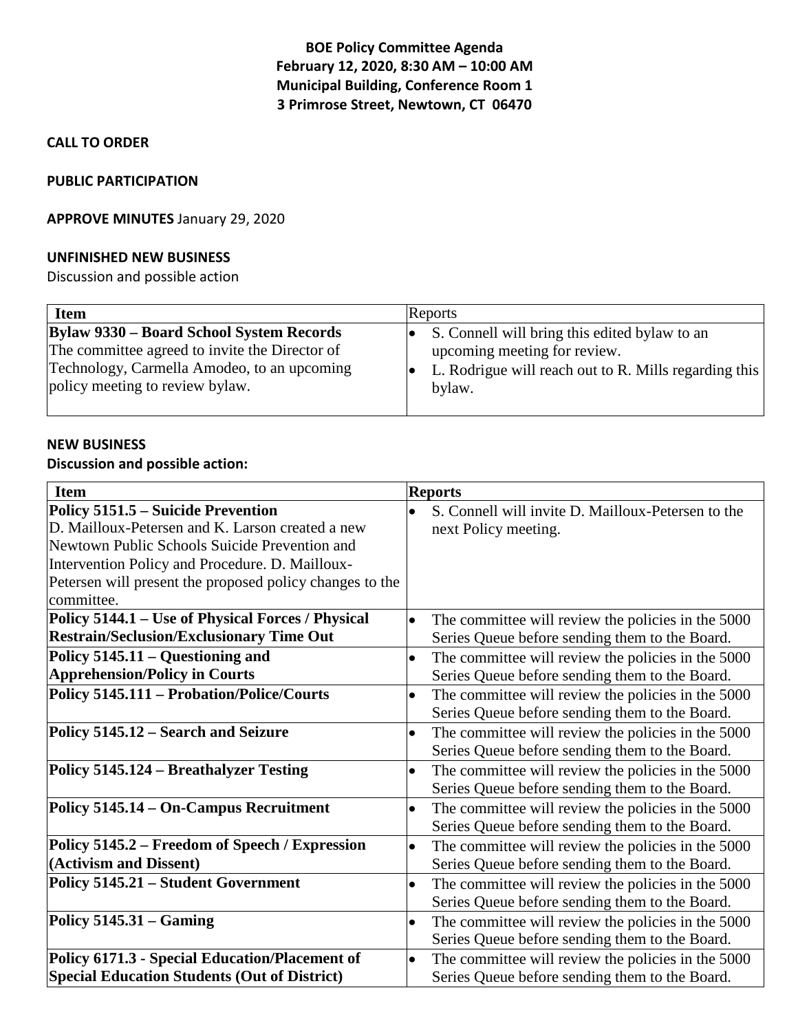**BOE Policy Committee Agenda February 12, 2020, 8:30 AM – 10:00 AM Municipal Building, Conference Room 1 3 Primrose Street, Newtown, CT 06470**

### **CALL TO ORDER**

### **PUBLIC PARTICIPATION**

# **APPROVE MINUTES** January 29, 2020

### **UNFINISHED NEW BUSINESS**

Discussion and possible action

| <b>Item</b>                                    | Reports                                               |
|------------------------------------------------|-------------------------------------------------------|
| Bylaw 9330 – Board School System Records       | S. Connell will bring this edited by law to an        |
| The committee agreed to invite the Director of | upcoming meeting for review.                          |
| Technology, Carmella Amodeo, to an upcoming    | L. Rodrigue will reach out to R. Mills regarding this |
| policy meeting to review bylaw.                | bylaw.                                                |
|                                                |                                                       |

#### **NEW BUSINESS**

# **Discussion and possible action:**

| <b>Item</b>                                                                                                                                                                                                                                                                 | <b>Reports</b>                                                                                                    |
|-----------------------------------------------------------------------------------------------------------------------------------------------------------------------------------------------------------------------------------------------------------------------------|-------------------------------------------------------------------------------------------------------------------|
| <b>Policy 5151.5 – Suicide Prevention</b><br>D. Mailloux-Petersen and K. Larson created a new<br>Newtown Public Schools Suicide Prevention and<br>Intervention Policy and Procedure. D. Mailloux-<br>Petersen will present the proposed policy changes to the<br>committee. | S. Connell will invite D. Mailloux-Petersen to the<br>$\bullet$<br>next Policy meeting.                           |
| Policy 5144.1 - Use of Physical Forces / Physical                                                                                                                                                                                                                           | The committee will review the policies in the 5000<br>$\bullet$                                                   |
| <b>Restrain/Seclusion/Exclusionary Time Out</b>                                                                                                                                                                                                                             | Series Queue before sending them to the Board.                                                                    |
| Policy 5145.11 – Questioning and                                                                                                                                                                                                                                            | The committee will review the policies in the 5000<br>$\bullet$                                                   |
| <b>Apprehension/Policy in Courts</b>                                                                                                                                                                                                                                        | Series Queue before sending them to the Board.                                                                    |
| <b>Policy 5145.111 - Probation/Police/Courts</b>                                                                                                                                                                                                                            | The committee will review the policies in the 5000<br>$\bullet$<br>Series Queue before sending them to the Board. |
| Policy 5145.12 – Search and Seizure                                                                                                                                                                                                                                         | The committee will review the policies in the 5000<br>$\bullet$<br>Series Queue before sending them to the Board. |
| Policy 5145.124 – Breathalyzer Testing                                                                                                                                                                                                                                      | The committee will review the policies in the 5000<br>$\bullet$<br>Series Queue before sending them to the Board. |
| Policy 5145.14 – On-Campus Recruitment                                                                                                                                                                                                                                      | The committee will review the policies in the 5000<br>$\bullet$<br>Series Queue before sending them to the Board. |
| Policy 5145.2 - Freedom of Speech / Expression                                                                                                                                                                                                                              | The committee will review the policies in the 5000<br>$\bullet$                                                   |
| (Activism and Dissent)                                                                                                                                                                                                                                                      | Series Queue before sending them to the Board.                                                                    |
| Policy 5145.21 - Student Government                                                                                                                                                                                                                                         | The committee will review the policies in the 5000<br>$\bullet$<br>Series Queue before sending them to the Board. |
| Policy $5145.31 -$ Gaming                                                                                                                                                                                                                                                   | The committee will review the policies in the 5000<br>$\bullet$<br>Series Queue before sending them to the Board. |
| Policy 6171.3 - Special Education/Placement of                                                                                                                                                                                                                              | The committee will review the policies in the 5000<br>$\bullet$                                                   |
| <b>Special Education Students (Out of District)</b>                                                                                                                                                                                                                         | Series Queue before sending them to the Board.                                                                    |